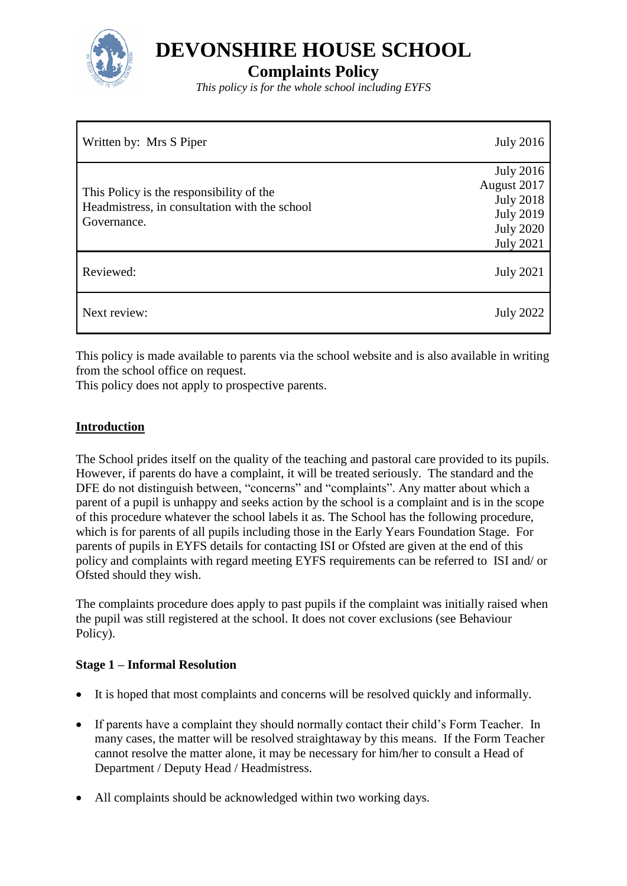

**DEVONSHIRE HOUSE SCHOOL**

# **Complaints Policy**

*This policy is for the whole school including EYFS*

| Written by: Mrs S Piper                                                                                  | <b>July 2016</b>                                                                                                |
|----------------------------------------------------------------------------------------------------------|-----------------------------------------------------------------------------------------------------------------|
| This Policy is the responsibility of the<br>Headmistress, in consultation with the school<br>Governance. | <b>July 2016</b><br>August 2017<br><b>July 2018</b><br><b>July 2019</b><br><b>July 2020</b><br><b>July 2021</b> |
| Reviewed:                                                                                                | <b>July 2021</b>                                                                                                |
| Next review:                                                                                             | <b>July 2022</b>                                                                                                |

This policy is made available to parents via the school website and is also available in writing from the school office on request.

This policy does not apply to prospective parents.

## **Introduction**

The School prides itself on the quality of the teaching and pastoral care provided to its pupils. However, if parents do have a complaint, it will be treated seriously. The standard and the DFE do not distinguish between, "concerns" and "complaints". Any matter about which a parent of a pupil is unhappy and seeks action by the school is a complaint and is in the scope of this procedure whatever the school labels it as. The School has the following procedure, which is for parents of all pupils including those in the Early Years Foundation Stage. For parents of pupils in EYFS details for contacting ISI or Ofsted are given at the end of this policy and complaints with regard meeting EYFS requirements can be referred to ISI and/ or Ofsted should they wish.

The complaints procedure does apply to past pupils if the complaint was initially raised when the pupil was still registered at the school. It does not cover exclusions (see Behaviour Policy).

#### **Stage 1 – Informal Resolution**

- It is hoped that most complaints and concerns will be resolved quickly and informally.
- If parents have a complaint they should normally contact their child's Form Teacher. In many cases, the matter will be resolved straightaway by this means. If the Form Teacher cannot resolve the matter alone, it may be necessary for him/her to consult a Head of Department / Deputy Head / Headmistress.
- All complaints should be acknowledged within two working days.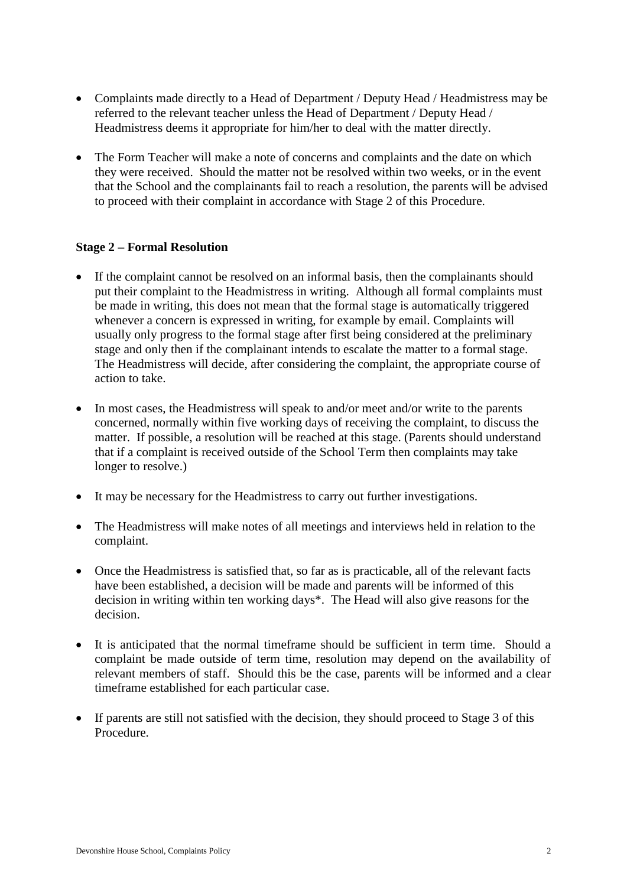- Complaints made directly to a Head of Department / Deputy Head / Headmistress may be referred to the relevant teacher unless the Head of Department / Deputy Head / Headmistress deems it appropriate for him/her to deal with the matter directly.
- The Form Teacher will make a note of concerns and complaints and the date on which they were received. Should the matter not be resolved within two weeks, or in the event that the School and the complainants fail to reach a resolution, the parents will be advised to proceed with their complaint in accordance with Stage 2 of this Procedure.

## **Stage 2 – Formal Resolution**

- If the complaint cannot be resolved on an informal basis, then the complainants should put their complaint to the Headmistress in writing. Although all formal complaints must be made in writing, this does not mean that the formal stage is automatically triggered whenever a concern is expressed in writing, for example by email. Complaints will usually only progress to the formal stage after first being considered at the preliminary stage and only then if the complainant intends to escalate the matter to a formal stage. The Headmistress will decide, after considering the complaint, the appropriate course of action to take.
- In most cases, the Headmistress will speak to and/or meet and/or write to the parents concerned, normally within five working days of receiving the complaint, to discuss the matter. If possible, a resolution will be reached at this stage. (Parents should understand that if a complaint is received outside of the School Term then complaints may take longer to resolve.)
- It may be necessary for the Headmistress to carry out further investigations.
- The Headmistress will make notes of all meetings and interviews held in relation to the complaint.
- Once the Headmistress is satisfied that, so far as is practicable, all of the relevant facts have been established, a decision will be made and parents will be informed of this decision in writing within ten working days\*. The Head will also give reasons for the decision.
- It is anticipated that the normal timeframe should be sufficient in term time. Should a complaint be made outside of term time, resolution may depend on the availability of relevant members of staff. Should this be the case, parents will be informed and a clear timeframe established for each particular case.
- If parents are still not satisfied with the decision, they should proceed to Stage 3 of this Procedure.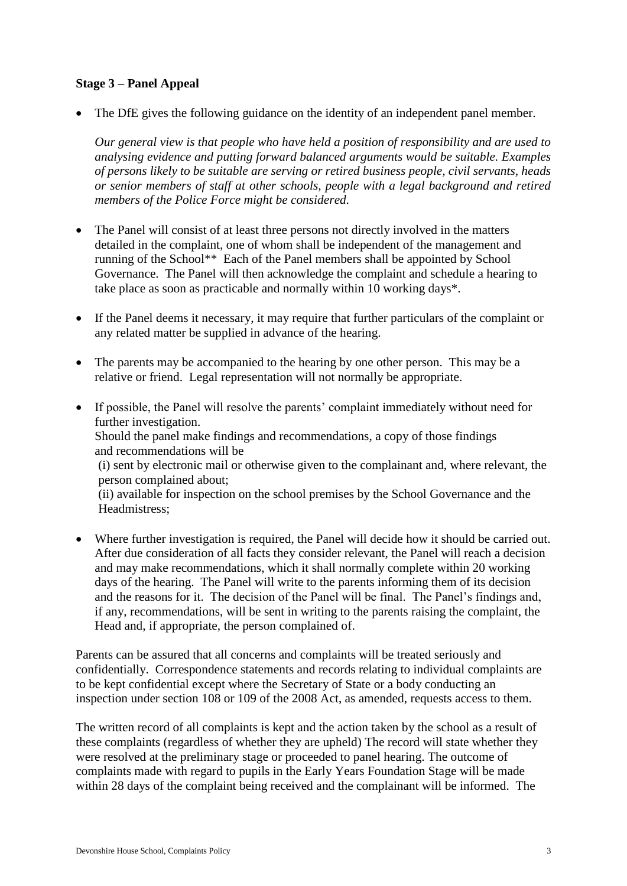## **Stage 3 – Panel Appeal**

• The DfE gives the following guidance on the identity of an independent panel member.

*Our general view is that people who have held a position of responsibility and are used to analysing evidence and putting forward balanced arguments would be suitable. Examples of persons likely to be suitable are serving or retired business people, civil servants, heads or senior members of staff at other schools, people with a legal background and retired members of the Police Force might be considered.*

- The Panel will consist of at least three persons not directly involved in the matters detailed in the complaint, one of whom shall be independent of the management and running of the School\*\* Each of the Panel members shall be appointed by School Governance. The Panel will then acknowledge the complaint and schedule a hearing to take place as soon as practicable and normally within 10 working days\*.
- If the Panel deems it necessary, it may require that further particulars of the complaint or any related matter be supplied in advance of the hearing.
- The parents may be accompanied to the hearing by one other person. This may be a relative or friend. Legal representation will not normally be appropriate.
- If possible, the Panel will resolve the parents' complaint immediately without need for further investigation. Should the panel make findings and recommendations, a copy of those findings and recommendations will be (i) sent by electronic mail or otherwise given to the complainant and, where relevant, the person complained about; (ii) available for inspection on the school premises by the School Governance and the Headmistress;
- Where further investigation is required, the Panel will decide how it should be carried out. After due consideration of all facts they consider relevant, the Panel will reach a decision and may make recommendations, which it shall normally complete within 20 working days of the hearing. The Panel will write to the parents informing them of its decision and the reasons for it. The decision of the Panel will be final. The Panel's findings and, if any, recommendations, will be sent in writing to the parents raising the complaint, the Head and, if appropriate, the person complained of.

Parents can be assured that all concerns and complaints will be treated seriously and confidentially. Correspondence statements and records relating to individual complaints are to be kept confidential except where the Secretary of State or a body conducting an inspection under section 108 or 109 of the 2008 Act, as amended, requests access to them.

The written record of all complaints is kept and the action taken by the school as a result of these complaints (regardless of whether they are upheld) The record will state whether they were resolved at the preliminary stage or proceeded to panel hearing. The outcome of complaints made with regard to pupils in the Early Years Foundation Stage will be made within 28 days of the complaint being received and the complainant will be informed. The